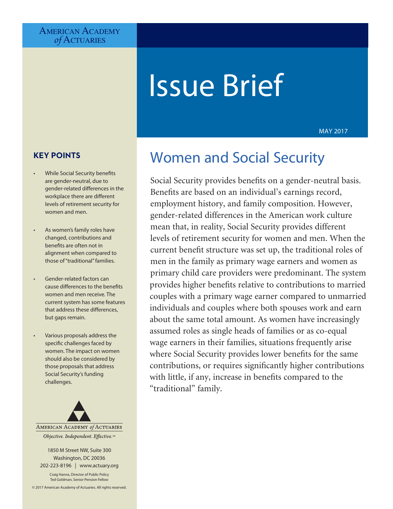# AMERICAN ACADEMY *of* Actuaries

# Issue Brief

MAY 2017

# **KEY POINTS**

- While Social Security benefits are gender-neutral, due to gender-related differences in the workplace there are different levels of retirement security for women and men.
- As women's family roles have changed, contributions and benefits are often not in alignment when compared to those of "traditional" families.
- Gender-related factors can cause differences to the benefits women and men receive. The current system has some features that address these differences, but gaps remain.
- Various proposals address the specific challenges faced by women. The impact on women should also be considered by those proposals that address Social Security's funding challenges.



1850 M Street NW, Suite 300 Washington, DC 20036 202-223-8196 | [www.actuary.org](http://www.actuary.org)

Craig Hanna, Director of Public Policy Ted Goldman, Senior Pension Fellow

© 2017 American Academy of Actuaries. All rights reserved.

# Women and Social Security

Social Security provides benefits on a gender-neutral basis. Benefits are based on an individual's earnings record, employment history, and family composition. However, gender-related differences in the American work culture mean that, in reality, Social Security provides different levels of retirement security for women and men. When the current benefit structure was set up, the traditional roles of men in the family as primary wage earners and women as primary child care providers were predominant. The system provides higher benefits relative to contributions to married couples with a primary wage earner compared to unmarried individuals and couples where both spouses work and earn about the same total amount. As women have increasingly assumed roles as single heads of families or as co-equal wage earners in their families, situations frequently arise where Social Security provides lower benefits for the same contributions, or requires significantly higher contributions with little, if any, increase in benefits compared to the "traditional" family.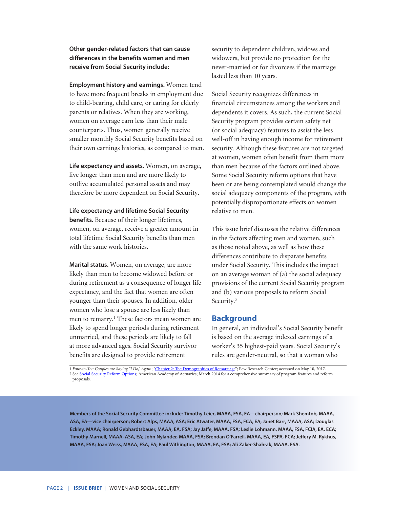#### **Other gender-related factors that can cause differences in the benefits women and men receive from Social Security include:**

**Employment history and earnings.** Women tend to have more frequent breaks in employment due to child-bearing, child care, or caring for elderly parents or relatives. When they are working, women on average earn less than their male counterparts. Thus, women generally receive smaller monthly Social Security benefits based on their own earnings histories, as compared to men.

**Life expectancy and assets.** Women, on average, live longer than men and are more likely to outlive accumulated personal assets and may therefore be more dependent on Social Security.

#### **Life expectancy and lifetime Social Security**

**benefits.** Because of their longer lifetimes, women, on average, receive a greater amount in total lifetime Social Security benefits than men with the same work histories.

**Marital status.** Women, on average, are more likely than men to become widowed before or during retirement as a consequence of longer life expectancy, and the fact that women are often younger than their spouses. In addition, older women who lose a spouse are less likely than men to remarry.<sup>1</sup> These factors mean women are likely to spend longer periods during retirement unmarried, and these periods are likely to fall at more advanced ages. Social Security survivor benefits are designed to provide retirement

security to dependent children, widows and widowers, but provide no protection for the never-married or for divorcees if the marriage lasted less than 10 years.

Social Security recognizes differences in financial circumstances among the workers and dependents it covers. As such, the current Social Security program provides certain safety net (or social adequacy) features to assist the less well-off in having enough income for retirement security. Although these features are not targeted at women, women often benefit from them more than men because of the factors outlined above. Some Social Security reform options that have been or are being contemplated would change the social adequacy components of the program, with potentially disproportionate effects on women relative to men.

This issue brief discusses the relative differences in the factors affecting men and women, such as those noted above, as well as how these differences contribute to disparate benefits under Social Security. This includes the impact on an average woman of (a) the social adequacy provisions of the current Social Security program and (b) various proposals to reform Social Security.<sup>2</sup>

#### **Background**

In general, an individual's Social Security benefit is based on the average indexed earnings of a worker's 35 highest-paid years. Social Security's rules are gender-neutral, so that a woman who

1 *Four-in-Ten Couples are Saying "I Do," Again*; ["Chapter 2: The Demographics of Remarriage](http://www.pewsocialtrends.org/2014/11/14/chapter-2-the-demographics-of-remarriage/)"; Pew Research Center; accessed on May 10, 2017. 2 See [Social Security Reform Options](http://www.actuary.org/files/Soc-Sec-Reform-Options_Monograph_03-03-2014.pdf); American Academy of Actuaries; March 2014 for a comprehensive summary of program features and reform proposals.

**Members of the Social Security Committee include: Timothy Leier, MAAA, FSA, EA—chairperson; Mark Shemtob, MAAA, ASA, EA—vice chairperson; Robert Alps, MAAA, ASA; Eric Atwater, MAAA, FSA, FCA, EA; Janet Barr, MAAA, ASA; Douglas Eckley, MAAA; Ronald Gebhardtsbauer, MAAA, EA, FSA; Jay Jaffe, MAAA, FSA; Leslie Lohmann, MAAA, FSA, FCIA, EA, ECA; Timothy Marnell, MAAA, ASA, EA; John Nylander, MAAA, FSA; Brendan O'Farrell, MAAA, EA, FSPA, FCA; Jeffery M. Rykhus, MAAA, FSA; Joan Weiss, MAAA, FSA, EA; Paul Withington, MAAA, EA, FSA; Ali Zaker-Shahrak, MAAA, FSA.**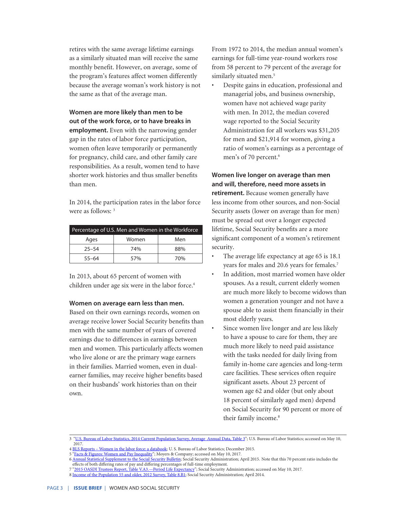retires with the same average lifetime earnings as a similarly situated man will receive the same monthly benefit. However, on average, some of the program's features affect women differently because the average woman's work history is not the same as that of the average man.

# **Women are more likely than men to be out of the work force, or to have breaks in employment.** Even with the narrowing gender gap in the rates of labor force participation, women often leave temporarily or permanently for pregnancy, child care, and other family care responsibilities. As a result, women tend to have shorter work histories and thus smaller benefits than men.

In 2014, the participation rates in the labor force were as follows: <sup>3</sup>

| Percentage of U.S. Men and Women in the Workforce |       |     |  |  |
|---------------------------------------------------|-------|-----|--|--|
| Ages                                              | Women | Men |  |  |
| $25 - 54$                                         | 74%   | 88% |  |  |
| $55 - 64$                                         | 57%   | 70% |  |  |

In 2013, about 65 percent of women with children under age six were in the labor force.<sup>4</sup>

#### **Women on average earn less than men.**

Based on their own earnings records, women on average receive lower Social Security benefits than men with the same number of years of covered earnings due to differences in earnings between men and women. This particularly affects women who live alone or are the primary wage earners in their families. Married women, even in dualearner families, may receive higher benefits based on their husbands' work histories than on their own.

From 1972 to 2014, the median annual women's earnings for full-time year-round workers rose from 58 percent to 79 percent of the average for similarly situated men.<sup>5</sup>

• Despite gains in education, professional and managerial jobs, and business ownership, women have not achieved wage parity with men. In 2012, the median covered wage reported to the Social Security Administration for all workers was \$31,205 for men and \$21,914 for women, giving a ratio of women's earnings as a percentage of men's of 70 percent.<sup>6</sup>

**Women live longer on average than men and will, therefore, need more assets in retirement.** Because women generally have less income from other sources, and non-Social Security assets (lower on average than for men) must be spread out over a longer expected lifetime, Social Security benefits are a more significant component of a women's retirement security.

- The average life expectancy at age 65 is 18.1 years for males and 20.6 years for females.<sup>7</sup>
- In addition, most married women have older spouses. As a result, current elderly women are much more likely to become widows than women a generation younger and not have a spouse able to assist them financially in their most elderly years.
- Since women live longer and are less likely to have a spouse to care for them, they are much more likely to need paid assistance with the tasks needed for daily living from family in-home care agencies and long-term care facilities. These services often require significant assets. About 23 percent of women age 62 and older (but only about 18 percent of similarly aged men) depend on Social Security for 90 percent or more of their family income.<sup>8</sup>

<sup>3</sup> ["U.S. Bureau of Labor Statistics, 2014 Current Population Survey, Average Annual Data, Table 3"](https://www.bls.gov/cps/tables.htm); U.S. Bureau of Labor Statistics; accessed on May 10, 2017.

<sup>4</sup> [BLS Reports – Women in the labor force: a databook;](https://www.bls.gov/opub/reports/womens-databook/archive/women-in-the-labor-force-a-databook-2015.pdf) U. S. Bureau of Labor Statistics; December 2015.

<sup>5 &</sup>quot;[Facts & Figures: Women and Pay Inequality"](http://billmoyers.com/content/facts-figures-women-and-pay-inequality/); Moyers & Company; accessed on May 10, 2017.

<sup>6</sup> [Annual Statistical Supplement to the Social Security Bulletin;](https://www.ssa.gov/policy/docs/statcomps/supplement/2014/supplement14.pdf) Social Security Administration; April 2015. Note that this 70 percent ratio includes the effects of both differing rates of pay and differing percentages of full-time employment.

<sup>7 &</sup>lt;u>"[2015 OASDI Trustees Report, Table V.A3.—Period Life Expectancy](https://www.ssa.gov/OACT/TR/2015/V_A_demo.html#22669)</u>"; Social Security Administration; accessed on May 10, 2017.

<sup>8</sup> [Income of the Population 55 and older, 2012 Survey, Table 8.B1](https://www.ssa.gov/policy/docs/statcomps/income_pop55/2012/incpop12.pdf); Social Security Administration; April 2014.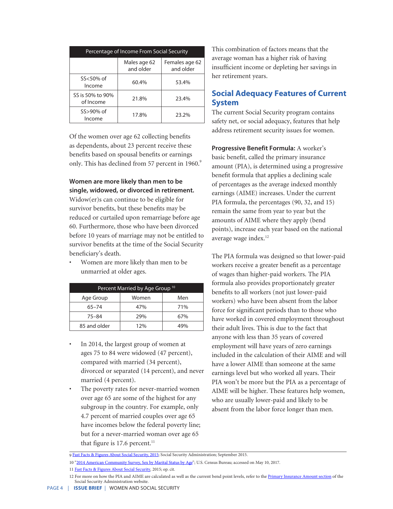| Percentage of Income From Social Security |                           |                             |  |  |
|-------------------------------------------|---------------------------|-----------------------------|--|--|
|                                           | Males age 62<br>and older | Females age 62<br>and older |  |  |
| $SS < 50\%$ of<br>Income                  | 60.4%                     | 53.4%                       |  |  |
| SS is 50% to 90%<br>of Income             | 21.8%                     | 23.4%                       |  |  |
| SS>90% of<br>Income                       | 17.8%                     | 23.2%                       |  |  |

Of the women over age 62 collecting benefits as dependents, about 23 percent receive these benefits based on spousal benefits or earnings only. This has declined from 57 percent in 1960.<sup>9</sup>

**Women are more likely than men to be single, widowed, or divorced in retirement.** Widow(er)s can continue to be eligible for survivor benefits, but these benefits may be reduced or curtailed upon remarriage before age 60. Furthermore, those who have been divorced before 10 years of marriage may not be entitled to survivor benefits at the time of the Social Security beneficiary's death.

• Women are more likely than men to be unmarried at older ages.

| Percent Married by Age Group <sup>10</sup> |       |     |  |  |
|--------------------------------------------|-------|-----|--|--|
| Age Group                                  | Women | Men |  |  |
| 65–74                                      | 47%   | 71% |  |  |
| 75-84                                      | 29%   | 67% |  |  |
| 85 and older                               | 12%   | 49% |  |  |

- In 2014, the largest group of women at ages 75 to 84 were widowed (47 percent), compared with married (34 percent), divorced or separated (14 percent), and never married (4 percent).
- The poverty rates for never-married women over age 65 are some of the highest for any subgroup in the country. For example, only 4.7 percent of married couples over age 65 have incomes below the federal poverty line; but for a never-married woman over age 65 that figure is  $17.6$  percent.<sup>11</sup>

This combination of factors means that the average woman has a higher risk of having insufficient income or depleting her savings in her retirement years.

# **Social Adequacy Features of Current System**

The current Social Security program contains safety net, or social adequacy, features that help address retirement security issues for women.

**Progressive Benefit Formula:** A worker's basic benefit, called the primary insurance amount (PIA), is determined using a progressive benefit formula that applies a declining scale of percentages as the average indexed monthly earnings (AIME) increases. Under the current PIA formula, the percentages (90, 32, and 15) remain the same from year to year but the amounts of AIME where they apply (bend points), increase each year based on the national average wage index.<sup>12</sup>

The PIA formula was designed so that lower-paid workers receive a greater benefit as a percentage of wages than higher-paid workers. The PIA formula also provides proportionately greater benefits to all workers (not just lower-paid workers) who have been absent from the labor force for significant periods than to those who have worked in covered employment throughout their adult lives. This is due to the fact that anyone with less than 35 years of covered employment will have years of zero earnings included in the calculation of their AIME and will have a lower AIME than someone at the same earnings level but who worked all years. Their PIA won't be more but the PIA as a percentage of AIME will be higher. These features help women, who are usually lower-paid and likely to be absent from the labor force longer than men.

<sup>9</sup> [Fast Facts & Figures About Social Security, 2015](https://www.ssa.gov/policy/docs/chartbooks/fast_facts/2015/fast_facts15.pdf); Social Security Administration; September 2015.

<sup>10</sup> ["2014 American Community Survey, Sex by Marital Status by Age](https://factfinder.census.gov/faces/tableservices/jsf/pages/productview.xhtml?pid=ACS_14_5YR_B12002&prodType=table)"; U.S. Census Bureau; accessed on May 10, 2017.

<sup>11</sup> [Fast Facts & Figures About Social Security](https://www.ssa.gov/policy/docs/chartbooks/fast_facts/2016/fast_facts16.pdf)*,* 2015; op. cit.

<sup>12</sup> For more on how the PIA and AIME are calculated as well as the current bend point levels, refer to the [Primary Insurance Amount section](https://www.ssa.gov/oact/cola/piaformula.html) of the Social Security Administration website.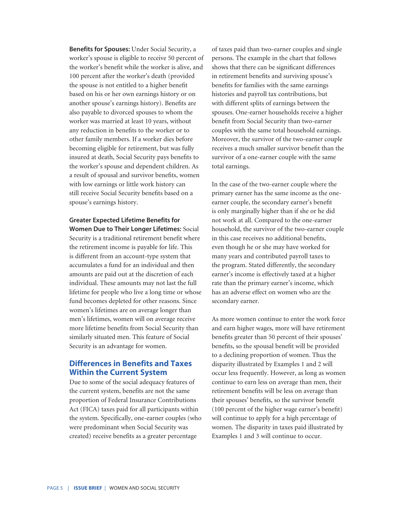**Benefits for Spouses:** Under Social Security, a worker's spouse is eligible to receive 50 percent of the worker's benefit while the worker is alive, and 100 percent after the worker's death (provided the spouse is not entitled to a higher benefit based on his or her own earnings history or on another spouse's earnings history). Benefits are also payable to divorced spouses to whom the worker was married at least 10 years, without any reduction in benefits to the worker or to other family members. If a worker dies before becoming eligible for retirement, but was fully insured at death, Social Security pays benefits to the worker's spouse and dependent children. As a result of spousal and survivor benefits, women with low earnings or little work history can still receive Social Security benefits based on a spouse's earnings history.

**Greater Expected Lifetime Benefits for Women Due to Their Longer Lifetimes:** Social Security is a traditional retirement benefit where the retirement income is payable for life. This is different from an account-type system that accumulates a fund for an individual and then amounts are paid out at the discretion of each individual. These amounts may not last the full lifetime for people who live a long time or whose fund becomes depleted for other reasons. Since women's lifetimes are on average longer than men's lifetimes, women will on average receive more lifetime benefits from Social Security than similarly situated men. This feature of Social Security is an advantage for women.

### **Differences in Benefits and Taxes Within the Current System**

Due to some of the social adequacy features of the current system, benefits are not the same proportion of Federal Insurance Contributions Act (FICA) taxes paid for all participants within the system. Specifically, one-earner couples (who were predominant when Social Security was created) receive benefits as a greater percentage

of taxes paid than two-earner couples and single persons. The example in the chart that follows shows that there can be significant differences in retirement benefits and surviving spouse's benefits for families with the same earnings histories and payroll tax contributions, but with different splits of earnings between the spouses. One-earner households receive a higher benefit from Social Security than two-earner couples with the same total household earnings. Moreover, the survivor of the two-earner couple receives a much smaller survivor benefit than the survivor of a one-earner couple with the same total earnings.

In the case of the two-earner couple where the primary earner has the same income as the oneearner couple, the secondary earner's benefit is only marginally higher than if she or he did not work at all. Compared to the one-earner household, the survivor of the two-earner couple in this case receives no additional benefits, even though he or she may have worked for many years and contributed payroll taxes to the program. Stated differently, the secondary earner's income is effectively taxed at a higher rate than the primary earner's income, which has an adverse effect on women who are the secondary earner.

As more women continue to enter the work force and earn higher wages, more will have retirement benefits greater than 50 percent of their spouses' benefits, so the spousal benefit will be provided to a declining proportion of women. Thus the disparity illustrated by Examples 1 and 2 will occur less frequently. However, as long as women continue to earn less on average than men, their retirement benefits will be less on average than their spouses' benefits, so the survivor benefit (100 percent of the higher wage earner's benefit) will continue to apply for a high percentage of women. The disparity in taxes paid illustrated by Examples 1 and 3 will continue to occur.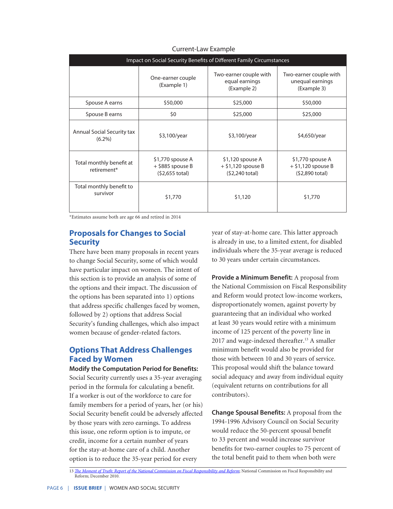| Impact on Social Security Benefits of Different Family Circumstances |                                                           |                                                                      |                                                             |  |
|----------------------------------------------------------------------|-----------------------------------------------------------|----------------------------------------------------------------------|-------------------------------------------------------------|--|
|                                                                      | One-earner couple<br>(Example 1)                          | Two-earner couple with<br>equal earnings<br>(Example 2)              | Two-earner couple with<br>unequal earnings<br>(Example 3)   |  |
| Spouse A earns                                                       | \$50,000                                                  | \$25,000                                                             | \$50,000                                                    |  |
| Spouse B earns                                                       | \$0                                                       | \$25,000                                                             | \$25,000                                                    |  |
| <b>Annual Social Security tax</b><br>$(6.2\%)$                       | \$3,100/year                                              | \$3,100/year                                                         | \$4,650/year                                                |  |
| Total monthly benefit at<br>retirement*                              | \$1,770 spouse A<br>$+$ \$885 spouse B<br>(\$2,655 total) | \$1,120 spouse A<br>$+$ \$1,120 spouse B<br>$(52,240 \text{ total})$ | \$1,770 spouse A<br>$+$ \$1,120 spouse B<br>(\$2,890 total) |  |
| Total monthly benefit to<br>survivor                                 | \$1,770                                                   | \$1,120                                                              | \$1,770                                                     |  |

#### Current-Law Example

\*Estimates assume both are age 66 and retired in 2014

# **Proposals for Changes to Social Security**

There have been many proposals in recent years to change Social Security, some of which would have particular impact on women. The intent of this section is to provide an analysis of some of the options and their impact. The discussion of the options has been separated into 1) options that address specific challenges faced by women, followed by 2) options that address Social Security's funding challenges, which also impact women because of gender-related factors.

# **Options That Address Challenges Faced by Women**

**Modify the Computation Period for Benefits:**  Social Security currently uses a 35-year averaging period in the formula for calculating a benefit. If a worker is out of the workforce to care for family members for a period of years, her (or his) Social Security benefit could be adversely affected by those years with zero earnings. To address this issue, one reform option is to impute, or credit, income for a certain number of years for the stay-at-home care of a child. Another option is to reduce the 35-year period for every

year of stay-at-home care. This latter approach is already in use, to a limited extent, for disabled individuals where the 35-year average is reduced to 30 years under certain circumstances.

**Provide a Minimum Benefit:** A proposal from the National Commission on Fiscal Responsibility and Reform would protect low-income workers, disproportionately women, against poverty by guaranteeing that an individual who worked at least 30 years would retire with a minimum income of 125 percent of the poverty line in 2017 and wage-indexed thereafter.<sup>13</sup> A smaller minimum benefit would also be provided for those with between 10 and 30 years of service. This proposal would shift the balance toward social adequacy and away from individual equity (equivalent returns on contributions for all contributors).

**Change Spousal Benefits:** A proposal from the 1994-1996 Advisory Council on Social Security would reduce the 50-percent spousal benefit to 33 percent and would increase survivor benefits for two-earner couples to 75 percent of the total benefit paid to them when both were

<sup>13</sup> *[The Moment of Truth: Report of the National Commission on Fiscal Responsibility and Reform](http://momentoftruthproject.org/sites/default/files/TheMomentofTruth12_1_2010.pdf)*; National Commission on Fiscal Responsibility and Reform; December 2010.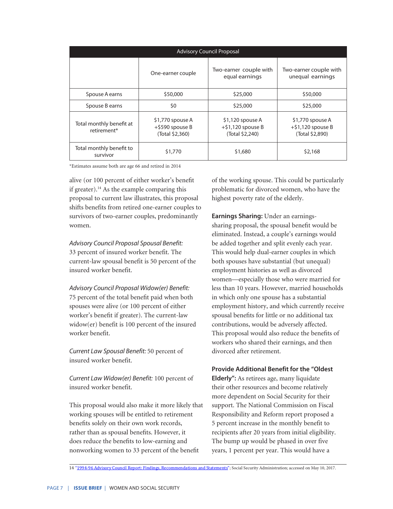| <b>Advisory Council Proposal</b>        |                                                           |                                                             |                                                             |  |  |
|-----------------------------------------|-----------------------------------------------------------|-------------------------------------------------------------|-------------------------------------------------------------|--|--|
|                                         | One-earner couple                                         | Two-earner couple with<br>equal earnings                    | Two-earner couple with<br>unequal earnings                  |  |  |
| Spouse A earns                          | \$50,000                                                  | \$25,000                                                    | \$50,000                                                    |  |  |
| Spouse B earns                          | \$0                                                       | \$25,000                                                    | \$25,000                                                    |  |  |
| Total monthly benefit at<br>retirement* | \$1,770 spouse A<br>$+$ \$590 spouse B<br>(Total \$2,360) | \$1,120 spouse A<br>$+$ \$1,120 spouse B<br>(Total \$2,240) | \$1,770 spouse A<br>$+$ \$1,120 spouse B<br>(Total \$2,890) |  |  |
| Total monthly benefit to<br>survivor    | \$1,770                                                   | \$1,680                                                     | \$2,168                                                     |  |  |

\*Estimates assume both are age 66 and retired in 2014

alive (or 100 percent of either worker's benefit if greater).<sup>14</sup> As the example comparing this proposal to current law illustrates, this proposal shifts benefits from retired one-earner couples to survivors of two-earner couples, predominantly women.

*Advisory Council Proposal Spousal Benefit:* 33 percent of insured worker benefit. The current-law spousal benefit is 50 percent of the insured worker benefit.

*Advisory Council Proposal Widow(er) Benefit:* 75 percent of the total benefit paid when both spouses were alive (or 100 percent of either worker's benefit if greater). The current-law widow(er) benefit is 100 percent of the insured worker benefit.

*Current Law Spousal Benefit:* 50 percent of insured worker benefit.

*Current Law Widow(er) Benefit:* 100 percent of insured worker benefit.

This proposal would also make it more likely that working spouses will be entitled to retirement benefits solely on their own work records, rather than as spousal benefits. However, it does reduce the benefits to low-earning and nonworking women to 33 percent of the benefit

of the working spouse. This could be particularly problematic for divorced women, who have the highest poverty rate of the elderly.

**Earnings Sharing:** Under an earningssharing proposal, the spousal benefit would be eliminated. Instead, a couple's earnings would be added together and split evenly each year. This would help dual-earner couples in which both spouses have substantial (but unequal) employment histories as well as divorced women—especially those who were married for less than 10 years. However, married households in which only one spouse has a substantial employment history, and which currently receive spousal benefits for little or no additional tax contributions, would be adversely affected. This proposal would also reduce the benefits of workers who shared their earnings, and then divorced after retirement.

#### **Provide Additional Benefit for the "Oldest**

**Elderly":** As retirees age, many liquidate their other resources and become relatively more dependent on Social Security for their support. The National Commission on Fiscal Responsibility and Reform report proposed a 5 percent increase in the monthly benefit to recipients after 20 years from initial eligibility. The bump up would be phased in over five years, 1 percent per year. This would have a

14 "1994-96 Advisory Council Report: Findings, Recommendations and Statements"; Social Security Administration; accessed on May 10, 2017.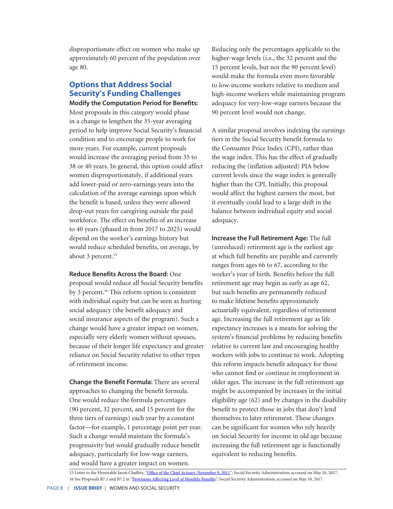disproportionate effect on women who make up approximately 60 percent of the population over age 80.

# **Options that Address Social Security's Funding Challenges**

**Modify the Computation Period for Benefits:**  Most proposals in this category would phase in a change to lengthen the 35-year averaging period to help improve Social Security's financial condition and to encourage people to work for more years. For example, current proposals would increase the averaging period from 35 to 38 or 40 years. In general, this option could affect women disproportionately, if additional years add lower-paid or zero-earnings years into the calculation of the average earnings upon which the benefit is based, unless they were allowed drop-out years for caregiving outside the paid workforce. The effect on benefits of an increase to 40 years (phased in from 2017 to 2025) would depend on the worker's earnings history but would reduce scheduled benefits, on average, by about 3 percent.<sup>15</sup>

#### **Reduce Benefits Across the Board:** One

proposal would reduce all Social Security benefits by 3 percent.<sup>16</sup> This reform option is consistent with individual equity but can be seen as hurting social adequacy (the benefit adequacy and social insurance aspects of the program). Such a change would have a greater impact on women, especially very elderly women without spouses, because of their longer life expectancy and greater reliance on Social Security relative to other types of retirement income.

**Change the Benefit Formula:** There are several approaches to changing the benefit formula. One would reduce the formula percentages (90 percent, 32 percent, and 15 percent for the three tiers of earnings) each year by a constant factor—for example, 1 percentage point per year. Such a change would maintain the formula's progressivity but would gradually reduce benefit adequacy, particularly for low-wage earners, and would have a greater impact on women.

Reducing only the percentages applicable to the higher-wage levels (i.e., the 32 percent and the 15 percent levels, but not the 90 percent level) would make the formula even more favorable to low-income workers relative to medium and high-income workers while maintaining program adequacy for very-low-wage earners because the 90 percent level would not change.

A similar proposal involves indexing the earnings tiers in the Social Security benefit formula to the Consumer Price Index (CPI), rather than the wage index. This has the effect of gradually reducing the (inflation adjusted) PIA below current levels since the wage index is generally higher than the CPI. Initially, this proposal would affect the highest earners the most, but it eventually could lead to a large shift in the balance between individual equity and social adequacy.

**Increase the Full Retirement Age:** The full (unreduced) retirement age is the earliest age at which full benefits are payable and currently ranges from ages 66 to 67, according to the worker's year of birth. Benefits before the full retirement age may begin as early as age 62, but such benefits are permanently reduced to make lifetime benefits approximately actuarially equivalent, regardless of retirement age. Increasing the full retirement age as life expectancy increases is a means for solving the system's financial problems by reducing benefits relative to current law and encouraging healthy workers with jobs to continue to work. Adopting this reform impacts benefit adequacy for those who cannot find or continue in employment in older ages. The increase in the full retirement age might be accompanied by increases in the initial eligibility age (62) and by changes in the disability benefit to protect those in jobs that don't lend themselves to later retirement. These changes can be significant for women who rely heavily on Social Security for income in old age because increasing the full retirement age is functionally equivalent to reducing benefits.

<sup>15</sup> Letter to the Honorable Jason Chaffetz, ["Office of the Chief Actuary, November 9, 2011](https://www.ssa.gov/OACT/solvency/JChaffetz_20111109.pdf)"; Social Security Administration; accessed on May 10, 2017. 16 See Proposals B7.1 and B7.2 in ["Provisions Affecting Level of Monthly Benefits"](https://www.ssa.gov/OACT/solvency/provisions/benefitlevel.html); Social Security Administration; accessed on May 10, 2017.